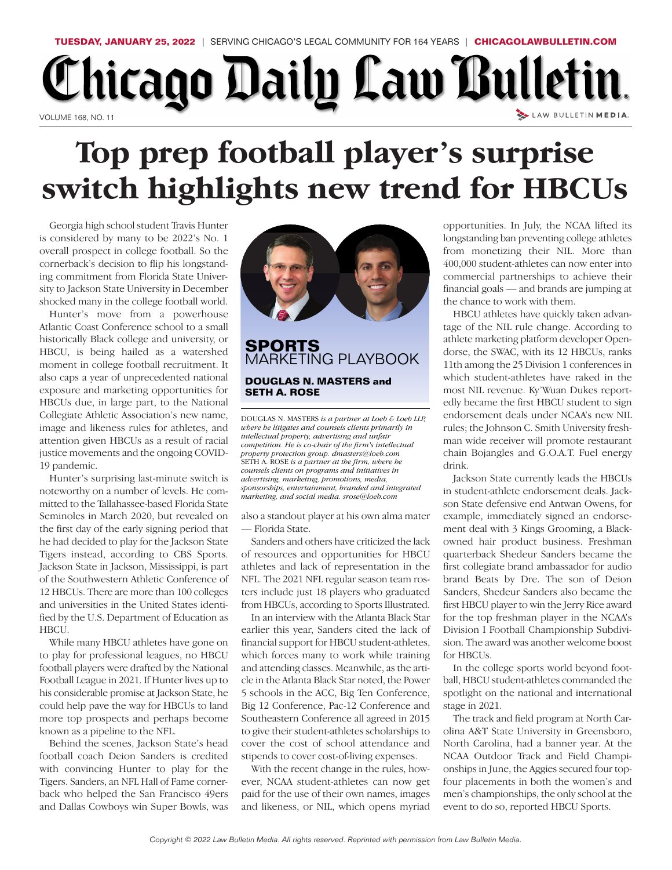

## Chicago Daily Law Bulletin. LAW BULLETIN MEDIA. VOLUME 168, NO. 11

## **Top prep football player's surprise switch highlights new trend for HBCUs**

Georgia high school student Travis Hunter is considered by many to be 2022's No. 1 overall prospect in college football. So the cornerback's decision to flip his longstanding commitment from Florida State University to Jackson State University in December shocked many in the college football world.

Hunter's move from a powerhouse Atlantic Coast Conference school to a small historically Black college and university, or HBCU, is being hailed as a watershed moment in college football recruitment. It also caps a year of unprecedented national exposure and marketing opportunities for HBCUs due, in large part, to the National Collegiate Athletic Association's new name, image and likeness rules for athletes, and attention given HBCUs as a result of racial justice movements and the ongoing COVID-19 pandemic.

Hunter's surprising last-minute switch is noteworthy on a number of levels. He committed to the Tallahassee-based Florida State Seminoles in March 2020, but revealed on the first day of the early signing period that he had decided to play for the Jackson State Tigers instead, according to CBS Sports. Jackson State in Jackson, Mississippi, is part of the Southwestern Athletic Conference of 12 HBCUs. There are more than 100 colleges and universities in the United States identified by the U.S. Department of Education as HBCU.

While many HBCU athletes have gone on to play for professional leagues, no HBCU football players were drafted by the National Football League in 2021. If Hunter lives up to his considerable promise at Jackson State, he could help pave the way for HBCUs to land more top prospects and perhaps become known as a pipeline to the NFL.

Behind the scenes, Jackson State's head football coach Deion Sanders is credited with convincing Hunter to play for the Tigers. Sanders, an NFL Hall of Fame cornerback who helped the San Francisco 49ers and Dallas Cowboys win Super Bowls, was



## G **SP ORT S and DOUGLAS N. MASTERS** MARKETING PLAYBOOK **SETH A. ROSE**

competition. He is co-chair of the firm's intellectual<br>property protection group. dmasters@loeb.com<br>SETH A. ROSE is a partner at the firm, where he<br>counsels clients on programs and initiatives in<br>advertising, marketing, pr *edia, counsels clients on proprams and initiatives in* **SETH A. ROSE** is a partner at the firm, where he property protection group. dmasters@loeb.com *s intellectual competition. He is co-chair of the firm s* intellectual property, advertising and unfair *where he litigates and counsels clients primarily in Loeb & Loeb LLP, intellectual property, advertising and where he litigates and counsels clients* DOUGLAS N. MASTERS *is a partner at Lmarketing, and social media. srose@loeb.com*

also a standout player at his own alma mater — Florida State.

Sanders and others have criticized the lack of resources and opportunities for HBCU athletes and lack of representation in the NFL. The 2021 NFL regular season team rosters include just 18 players who graduated from HBCUs, according to Sports Illustrated.

In an interview with the Atlanta Black Star earlier this year, Sanders cited the lack of financial support for HBCU student-athletes, which forces many to work while training and attending classes. Meanwhile, as the article in the Atlanta Black Star noted, the Power 5 schools in the ACC, Big Ten Conference, Big 12 Conference, Pac-12 Conference and Southeastern Conference all agreed in 2015 to give their student-athletes scholarships to cover the cost of school attendance and stipends to cover cost-of-living expenses.

With the recent change in the rules, however, NCAA student-athletes can now get paid for the use of their own names, images and likeness, or NIL, which opens myriad

opportunities. In July, the NCAA lifted its longstanding ban preventing college athletes from monetizing their NIL. More than 400,000 student-athletes can now enter into commercial partnerships to achieve their financial goals — and brands are jumping at the chance to work with them.

HBCU athletes have quickly taken advantage of the NIL rule change. According to athlete marketing platform developer Opendorse, the SWAC, with its 12 HBCUs, ranks 11th among the 25 Division 1 conferences in which student-athletes have raked in the most NIL revenue. Ky'Wuan Dukes reportedly became the first HBCU student to sign endorsement deals under NCAA's new NIL rules; the Johnson C. Smith University freshman wide receiver will promote restaurant chain Bojangles and G.O.A.T. Fuel energy drink.

Jackson State currently leads the HBCUs in student-athlete endorsement deals. Jackson State defensive end Antwan Owens, for example, immediately signed an endorsement deal with 3 Kings Grooming, a Blackowned hair product business. Freshman quarterback Shedeur Sanders became the first collegiate brand ambassador for audio brand Beats by Dre. The son of Deion Sanders, Shedeur Sanders also became the first HBCU player to win the Jerry Rice award for the top freshman player in the NCAA's Division I Football Championship Subdivision. The award was another welcome boost for HBCUs.

In the college sports world beyond football, HBCU student-athletes commanded the spotlight on the national and international stage in 2021.

The track and field program at North Carolina A&T State University in Greensboro, North Carolina, had a banner year. At the NCAA Outdoor Track and Field Championships in June, the Aggies secured four topfour placements in both the women's and men's championships, the only school at the event to do so, reported HBCU Sports.